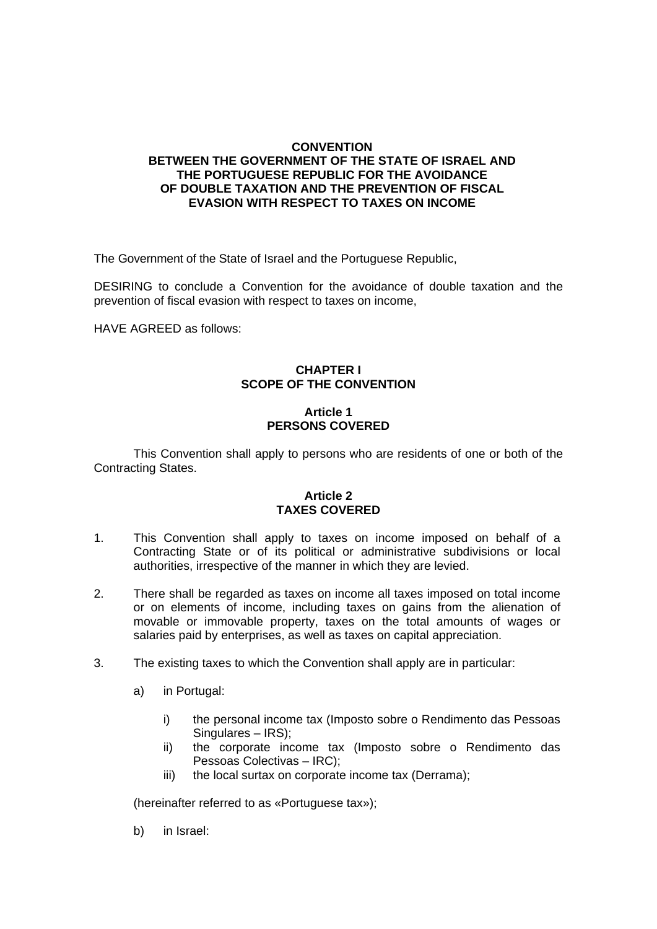### **CONVENTION BETWEEN THE GOVERNMENT OF THE STATE OF ISRAEL AND THE PORTUGUESE REPUBLIC FOR THE AVOIDANCE OF DOUBLE TAXATION AND THE PREVENTION OF FISCAL EVASION WITH RESPECT TO TAXES ON INCOME**

The Government of the State of Israel and the Portuguese Republic,

DESIRING to conclude a Convention for the avoidance of double taxation and the prevention of fiscal evasion with respect to taxes on income,

HAVE AGREED as follows:

# **CHAPTER I SCOPE OF THE CONVENTION**

# **Article 1 PERSONS COVERED**

 This Convention shall apply to persons who are residents of one or both of the Contracting States.

#### **Article 2 TAXES COVERED**

- 1. This Convention shall apply to taxes on income imposed on behalf of a Contracting State or of its political or administrative subdivisions or local authorities, irrespective of the manner in which they are levied.
- 2. There shall be regarded as taxes on income all taxes imposed on total income or on elements of income, including taxes on gains from the alienation of movable or immovable property, taxes on the total amounts of wages or salaries paid by enterprises, as well as taxes on capital appreciation.
- 3. The existing taxes to which the Convention shall apply are in particular:
	- a) in Portugal:
		- i) the personal income tax (Imposto sobre o Rendimento das Pessoas Singulares – IRS);
		- ii) the corporate income tax (Imposto sobre o Rendimento das Pessoas Colectivas – IRC);
		- iii) the local surtax on corporate income tax (Derrama);

(hereinafter referred to as «Portuguese tax»);

b) in Israel: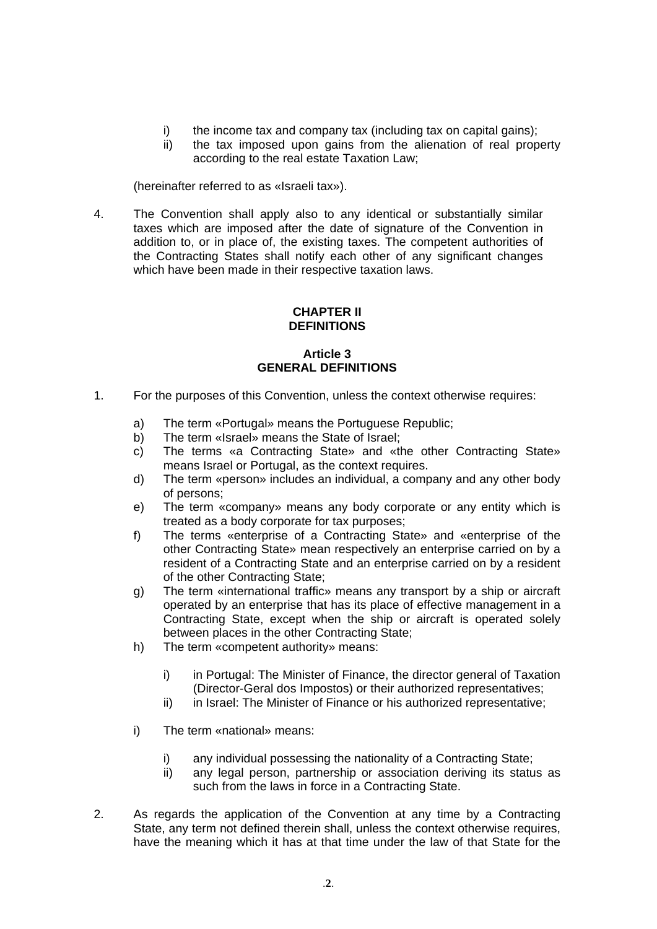- i) the income tax and company tax (including tax on capital gains);
- ii) the tax imposed upon gains from the alienation of real property according to the real estate Taxation Law;

(hereinafter referred to as «Israeli tax»).

4. The Convention shall apply also to any identical or substantially similar taxes which are imposed after the date of signature of the Convention in addition to, or in place of, the existing taxes. The competent authorities of the Contracting States shall notify each other of any significant changes which have been made in their respective taxation laws.

### **CHAPTER II DEFINITIONS**

# **Article 3 GENERAL DEFINITIONS**

- 1. For the purposes of this Convention, unless the context otherwise requires:
	- a) The term «Portugal» means the Portuguese Republic;
	- b) The term «Israel» means the State of Israel;
	- c) The terms «a Contracting State» and «the other Contracting State» means Israel or Portugal, as the context requires.
	- d) The term «person» includes an individual, a company and any other body of persons;
	- e) The term «company» means any body corporate or any entity which is treated as a body corporate for tax purposes;
	- f) The terms «enterprise of a Contracting State» and «enterprise of the other Contracting State» mean respectively an enterprise carried on by a resident of a Contracting State and an enterprise carried on by a resident of the other Contracting State;
	- g) The term «international traffic» means any transport by a ship or aircraft operated by an enterprise that has its place of effective management in a Contracting State, except when the ship or aircraft is operated solely between places in the other Contracting State;
	- h) The term «competent authority» means:
		- i) in Portugal: The Minister of Finance, the director general of Taxation (Director-Geral dos Impostos) or their authorized representatives;
		- ii) in Israel: The Minister of Finance or his authorized representative;
	- i) The term «national» means:
		- i) any individual possessing the nationality of a Contracting State;
		- ii) any legal person, partnership or association deriving its status as such from the laws in force in a Contracting State.
- 2. As regards the application of the Convention at any time by a Contracting State, any term not defined therein shall, unless the context otherwise requires, have the meaning which it has at that time under the law of that State for the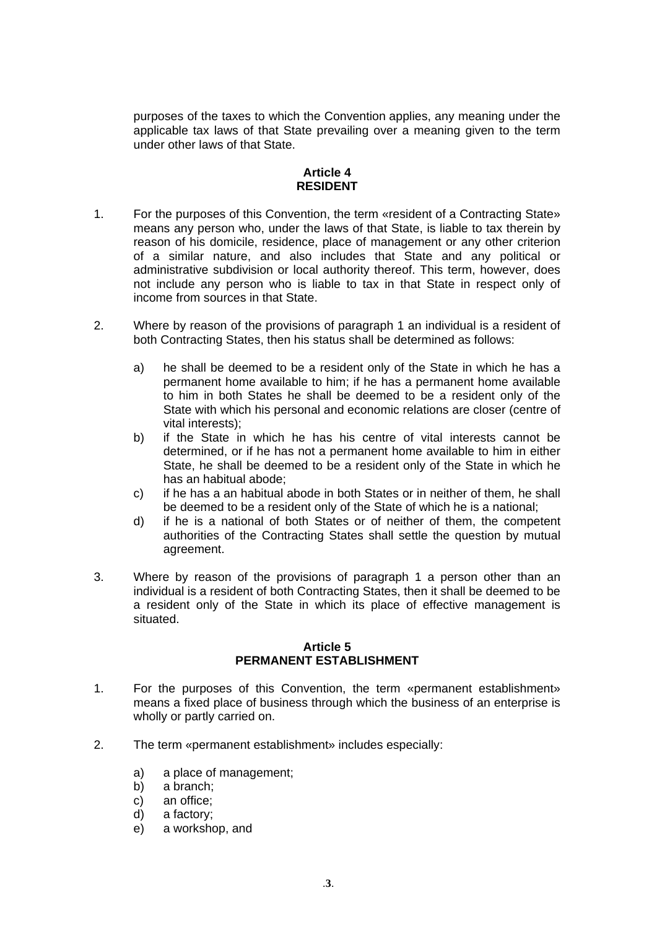purposes of the taxes to which the Convention applies, any meaning under the applicable tax laws of that State prevailing over a meaning given to the term under other laws of that State.

### **Article 4 RESIDENT**

- 1. For the purposes of this Convention, the term «resident of a Contracting State» means any person who, under the laws of that State, is liable to tax therein by reason of his domicile, residence, place of management or any other criterion of a similar nature, and also includes that State and any political or administrative subdivision or local authority thereof. This term, however, does not include any person who is liable to tax in that State in respect only of income from sources in that State.
- 2. Where by reason of the provisions of paragraph 1 an individual is a resident of both Contracting States, then his status shall be determined as follows:
	- a) he shall be deemed to be a resident only of the State in which he has a permanent home available to him; if he has a permanent home available to him in both States he shall be deemed to be a resident only of the State with which his personal and economic relations are closer (centre of vital interests);
	- b) if the State in which he has his centre of vital interests cannot be determined, or if he has not a permanent home available to him in either State, he shall be deemed to be a resident only of the State in which he has an habitual abode;
	- c) if he has a an habitual abode in both States or in neither of them, he shall be deemed to be a resident only of the State of which he is a national;
	- d) if he is a national of both States or of neither of them, the competent authorities of the Contracting States shall settle the question by mutual agreement.
- 3. Where by reason of the provisions of paragraph 1 a person other than an individual is a resident of both Contracting States, then it shall be deemed to be a resident only of the State in which its place of effective management is situated.

## **Article 5 PERMANENT ESTABLISHMENT**

- 1. For the purposes of this Convention, the term «permanent establishment» means a fixed place of business through which the business of an enterprise is wholly or partly carried on.
- 2. The term «permanent establishment» includes especially:
	- a) a place of management;
	- b) a branch;
	- c) an office;
	- d) a factory;
	- e) a workshop, and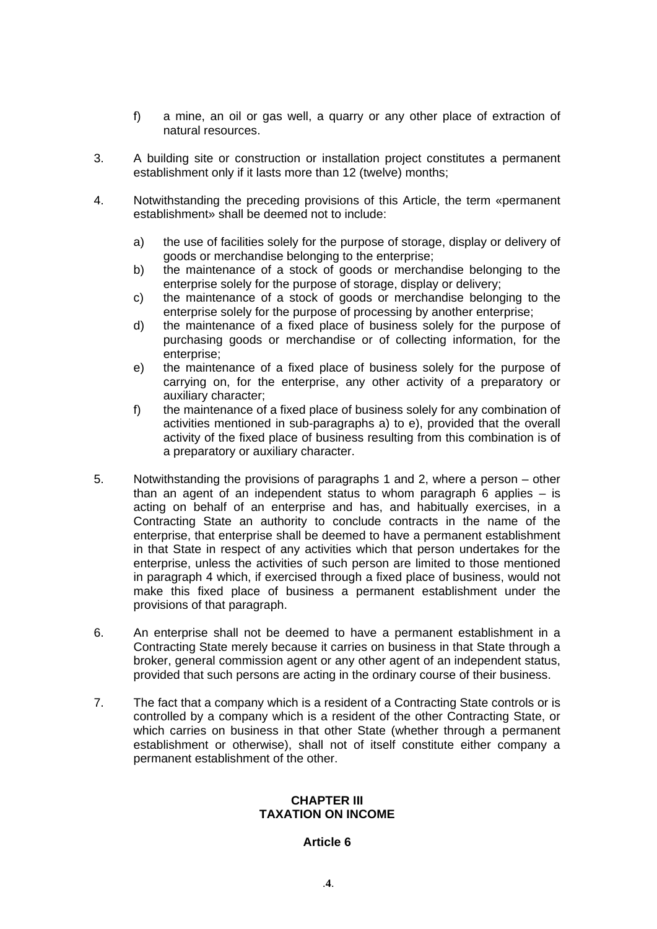- f) a mine, an oil or gas well, a quarry or any other place of extraction of natural resources.
- 3. A building site or construction or installation project constitutes a permanent establishment only if it lasts more than 12 (twelve) months;
- 4. Notwithstanding the preceding provisions of this Article, the term «permanent establishment» shall be deemed not to include:
	- a) the use of facilities solely for the purpose of storage, display or delivery of goods or merchandise belonging to the enterprise;
	- b) the maintenance of a stock of goods or merchandise belonging to the enterprise solely for the purpose of storage, display or delivery;
	- c) the maintenance of a stock of goods or merchandise belonging to the enterprise solely for the purpose of processing by another enterprise;
	- d) the maintenance of a fixed place of business solely for the purpose of purchasing goods or merchandise or of collecting information, for the enterprise;
	- e) the maintenance of a fixed place of business solely for the purpose of carrying on, for the enterprise, any other activity of a preparatory or auxiliary character;
	- f) the maintenance of a fixed place of business solely for any combination of activities mentioned in sub-paragraphs a) to e), provided that the overall activity of the fixed place of business resulting from this combination is of a preparatory or auxiliary character.
- 5. Notwithstanding the provisions of paragraphs 1 and 2, where a person other than an agent of an independent status to whom paragraph  $6$  applies  $-$  is acting on behalf of an enterprise and has, and habitually exercises, in a Contracting State an authority to conclude contracts in the name of the enterprise, that enterprise shall be deemed to have a permanent establishment in that State in respect of any activities which that person undertakes for the enterprise, unless the activities of such person are limited to those mentioned in paragraph 4 which, if exercised through a fixed place of business, would not make this fixed place of business a permanent establishment under the provisions of that paragraph.
- 6. An enterprise shall not be deemed to have a permanent establishment in a Contracting State merely because it carries on business in that State through a broker, general commission agent or any other agent of an independent status, provided that such persons are acting in the ordinary course of their business.
- 7. The fact that a company which is a resident of a Contracting State controls or is controlled by a company which is a resident of the other Contracting State, or which carries on business in that other State (whether through a permanent establishment or otherwise), shall not of itself constitute either company a permanent establishment of the other.

#### **CHAPTER III TAXATION ON INCOME**

#### **Article 6**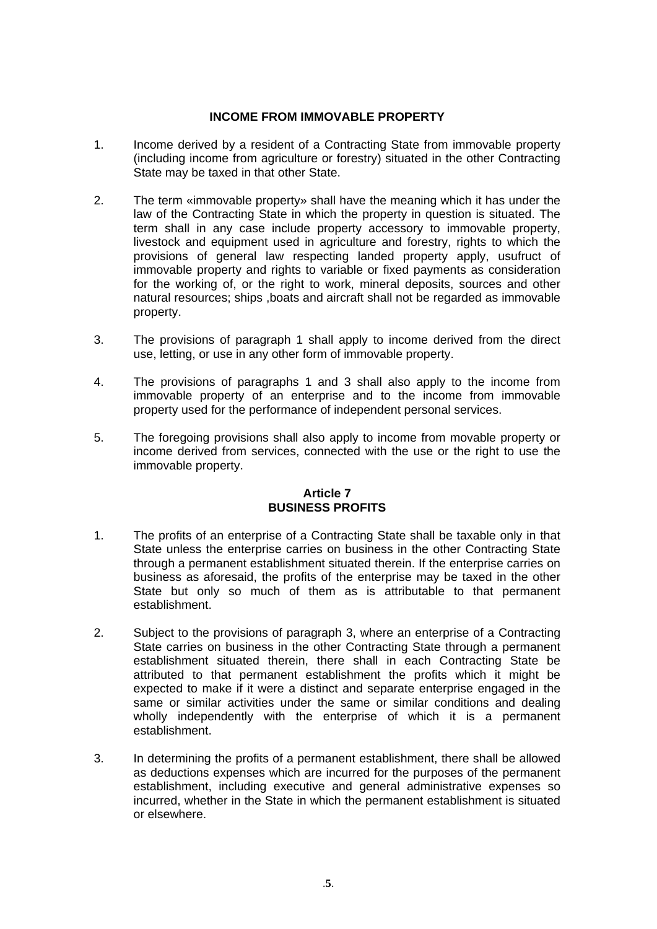# **INCOME FROM IMMOVABLE PROPERTY**

- 1. Income derived by a resident of a Contracting State from immovable property (including income from agriculture or forestry) situated in the other Contracting State may be taxed in that other State.
- 2. The term «immovable property» shall have the meaning which it has under the law of the Contracting State in which the property in question is situated. The term shall in any case include property accessory to immovable property, livestock and equipment used in agriculture and forestry, rights to which the provisions of general law respecting landed property apply, usufruct of immovable property and rights to variable or fixed payments as consideration for the working of, or the right to work, mineral deposits, sources and other natural resources; ships ,boats and aircraft shall not be regarded as immovable property.
- 3. The provisions of paragraph 1 shall apply to income derived from the direct use, letting, or use in any other form of immovable property.
- 4. The provisions of paragraphs 1 and 3 shall also apply to the income from immovable property of an enterprise and to the income from immovable property used for the performance of independent personal services.
- 5. The foregoing provisions shall also apply to income from movable property or income derived from services, connected with the use or the right to use the immovable property.

#### **Article 7 BUSINESS PROFITS**

- 1. The profits of an enterprise of a Contracting State shall be taxable only in that State unless the enterprise carries on business in the other Contracting State through a permanent establishment situated therein. If the enterprise carries on business as aforesaid, the profits of the enterprise may be taxed in the other State but only so much of them as is attributable to that permanent establishment.
- 2. Subject to the provisions of paragraph 3, where an enterprise of a Contracting State carries on business in the other Contracting State through a permanent establishment situated therein, there shall in each Contracting State be attributed to that permanent establishment the profits which it might be expected to make if it were a distinct and separate enterprise engaged in the same or similar activities under the same or similar conditions and dealing wholly independently with the enterprise of which it is a permanent establishment.
- 3. In determining the profits of a permanent establishment, there shall be allowed as deductions expenses which are incurred for the purposes of the permanent establishment, including executive and general administrative expenses so incurred, whether in the State in which the permanent establishment is situated or elsewhere.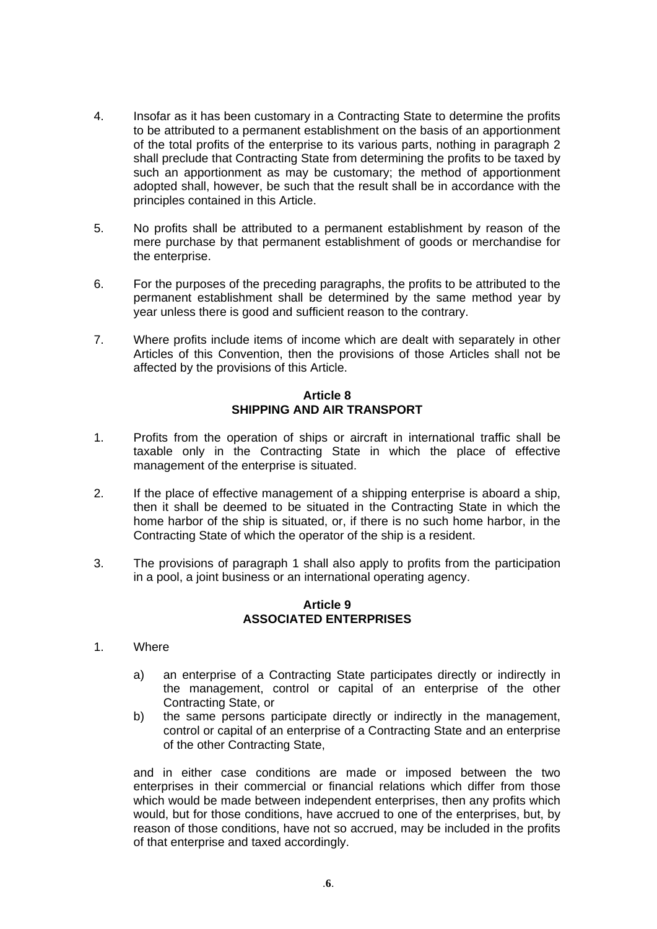- 4. Insofar as it has been customary in a Contracting State to determine the profits to be attributed to a permanent establishment on the basis of an apportionment of the total profits of the enterprise to its various parts, nothing in paragraph 2 shall preclude that Contracting State from determining the profits to be taxed by such an apportionment as may be customary; the method of apportionment adopted shall, however, be such that the result shall be in accordance with the principles contained in this Article.
- 5. No profits shall be attributed to a permanent establishment by reason of the mere purchase by that permanent establishment of goods or merchandise for the enterprise.
- 6. For the purposes of the preceding paragraphs, the profits to be attributed to the permanent establishment shall be determined by the same method year by year unless there is good and sufficient reason to the contrary.
- 7. Where profits include items of income which are dealt with separately in other Articles of this Convention, then the provisions of those Articles shall not be affected by the provisions of this Article.

## **Article 8 SHIPPING AND AIR TRANSPORT**

- 1. Profits from the operation of ships or aircraft in international traffic shall be taxable only in the Contracting State in which the place of effective management of the enterprise is situated.
- 2. If the place of effective management of a shipping enterprise is aboard a ship, then it shall be deemed to be situated in the Contracting State in which the home harbor of the ship is situated, or, if there is no such home harbor, in the Contracting State of which the operator of the ship is a resident.
- 3. The provisions of paragraph 1 shall also apply to profits from the participation in a pool, a joint business or an international operating agency.

#### **Article 9 ASSOCIATED ENTERPRISES**

- 1. Where
	- a) an enterprise of a Contracting State participates directly or indirectly in the management, control or capital of an enterprise of the other Contracting State, or
	- b) the same persons participate directly or indirectly in the management, control or capital of an enterprise of a Contracting State and an enterprise of the other Contracting State,

and in either case conditions are made or imposed between the two enterprises in their commercial or financial relations which differ from those which would be made between independent enterprises, then any profits which would, but for those conditions, have accrued to one of the enterprises, but, by reason of those conditions, have not so accrued, may be included in the profits of that enterprise and taxed accordingly.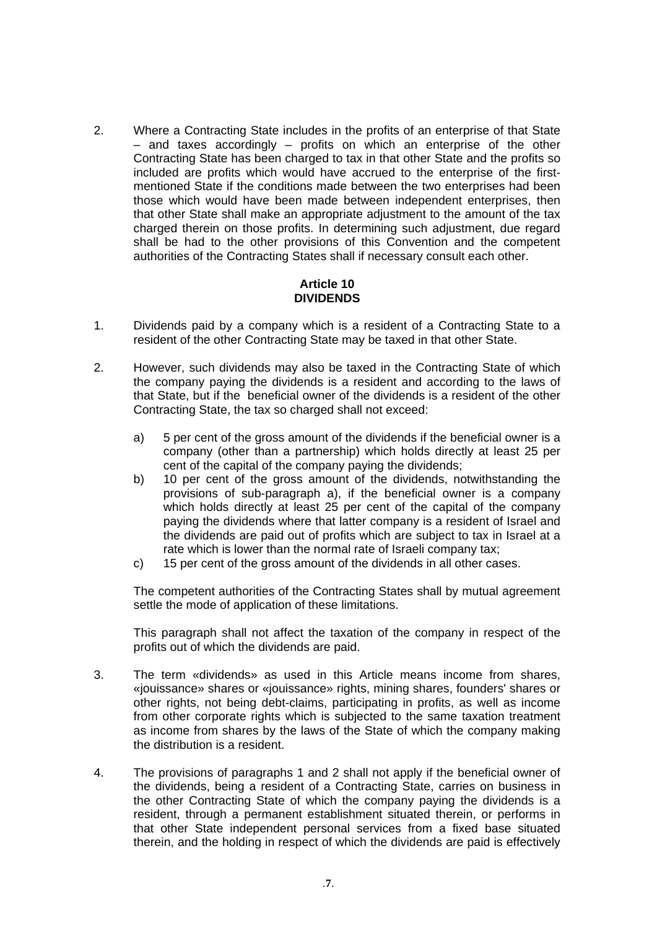2. Where a Contracting State includes in the profits of an enterprise of that State – and taxes accordingly – profits on which an enterprise of the other Contracting State has been charged to tax in that other State and the profits so included are profits which would have accrued to the enterprise of the firstmentioned State if the conditions made between the two enterprises had been those which would have been made between independent enterprises, then that other State shall make an appropriate adjustment to the amount of the tax charged therein on those profits. In determining such adjustment, due regard shall be had to the other provisions of this Convention and the competent authorities of the Contracting States shall if necessary consult each other.

### **Article 10 DIVIDENDS**

- 1. Dividends paid by a company which is a resident of a Contracting State to a resident of the other Contracting State may be taxed in that other State.
- 2. However, such dividends may also be taxed in the Contracting State of which the company paying the dividends is a resident and according to the laws of that State, but if the beneficial owner of the dividends is a resident of the other Contracting State, the tax so charged shall not exceed:
	- a) 5 per cent of the gross amount of the dividends if the beneficial owner is a company (other than a partnership) which holds directly at least 25 per cent of the capital of the company paying the dividends;
	- b) 10 per cent of the gross amount of the dividends, notwithstanding the provisions of sub-paragraph a), if the beneficial owner is a company which holds directly at least 25 per cent of the capital of the company paying the dividends where that latter company is a resident of Israel and the dividends are paid out of profits which are subject to tax in Israel at a rate which is lower than the normal rate of Israeli company tax;
	- c) 15 per cent of the gross amount of the dividends in all other cases.

The competent authorities of the Contracting States shall by mutual agreement settle the mode of application of these limitations.

This paragraph shall not affect the taxation of the company in respect of the profits out of which the dividends are paid.

- 3. The term «dividends» as used in this Article means income from shares, «jouissance» shares or «jouissance» rights, mining shares, founders' shares or other rights, not being debt-claims, participating in profits, as well as income from other corporate rights which is subjected to the same taxation treatment as income from shares by the laws of the State of which the company making the distribution is a resident.
- 4. The provisions of paragraphs 1 and 2 shall not apply if the beneficial owner of the dividends, being a resident of a Contracting State, carries on business in the other Contracting State of which the company paying the dividends is a resident, through a permanent establishment situated therein, or performs in that other State independent personal services from a fixed base situated therein, and the holding in respect of which the dividends are paid is effectively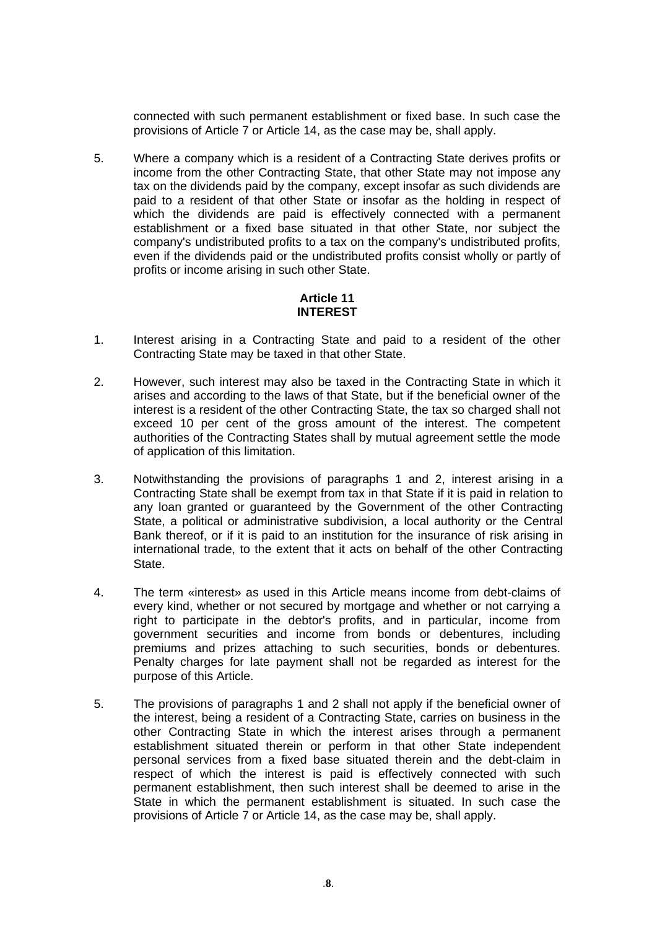connected with such permanent establishment or fixed base. In such case the provisions of Article 7 or Article 14, as the case may be, shall apply.

5. Where a company which is a resident of a Contracting State derives profits or income from the other Contracting State, that other State may not impose any tax on the dividends paid by the company, except insofar as such dividends are paid to a resident of that other State or insofar as the holding in respect of which the dividends are paid is effectively connected with a permanent establishment or a fixed base situated in that other State, nor subject the company's undistributed profits to a tax on the company's undistributed profits, even if the dividends paid or the undistributed profits consist wholly or partly of profits or income arising in such other State.

# **Article 11 INTEREST**

- 1. Interest arising in a Contracting State and paid to a resident of the other Contracting State may be taxed in that other State.
- 2. However, such interest may also be taxed in the Contracting State in which it arises and according to the laws of that State, but if the beneficial owner of the interest is a resident of the other Contracting State, the tax so charged shall not exceed 10 per cent of the gross amount of the interest. The competent authorities of the Contracting States shall by mutual agreement settle the mode of application of this limitation.
- 3. Notwithstanding the provisions of paragraphs 1 and 2, interest arising in a Contracting State shall be exempt from tax in that State if it is paid in relation to any loan granted or guaranteed by the Government of the other Contracting State, a political or administrative subdivision, a local authority or the Central Bank thereof, or if it is paid to an institution for the insurance of risk arising in international trade, to the extent that it acts on behalf of the other Contracting State.
- 4. The term «interest» as used in this Article means income from debt-claims of every kind, whether or not secured by mortgage and whether or not carrying a right to participate in the debtor's profits, and in particular, income from government securities and income from bonds or debentures, including premiums and prizes attaching to such securities, bonds or debentures. Penalty charges for late payment shall not be regarded as interest for the purpose of this Article.
- 5. The provisions of paragraphs 1 and 2 shall not apply if the beneficial owner of the interest, being a resident of a Contracting State, carries on business in the other Contracting State in which the interest arises through a permanent establishment situated therein or perform in that other State independent personal services from a fixed base situated therein and the debt-claim in respect of which the interest is paid is effectively connected with such permanent establishment, then such interest shall be deemed to arise in the State in which the permanent establishment is situated. In such case the provisions of Article 7 or Article 14, as the case may be, shall apply.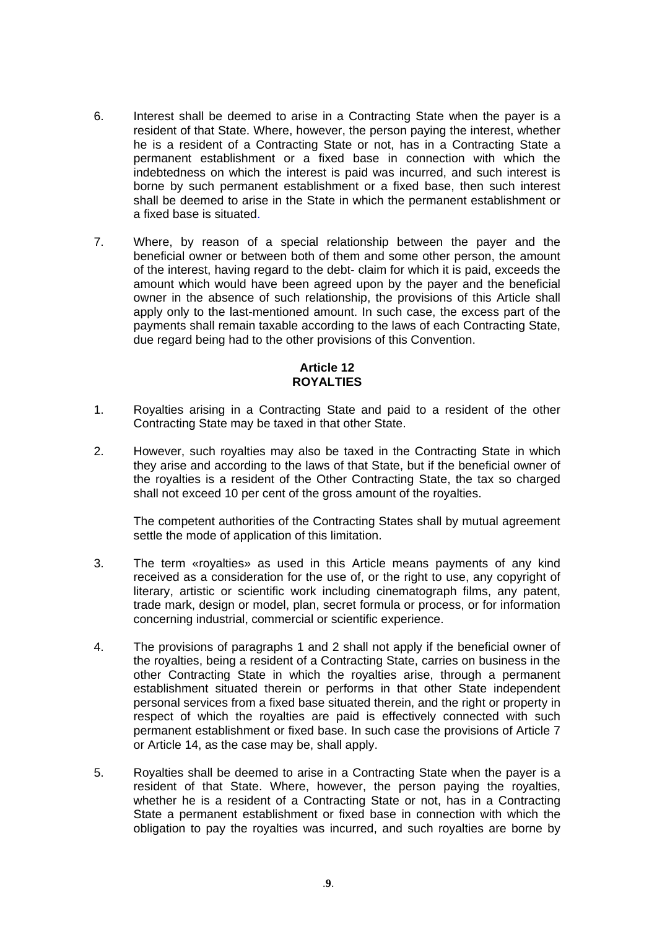- 6. Interest shall be deemed to arise in a Contracting State when the payer is a resident of that State. Where, however, the person paying the interest, whether he is a resident of a Contracting State or not, has in a Contracting State a permanent establishment or a fixed base in connection with which the indebtedness on which the interest is paid was incurred, and such interest is borne by such permanent establishment or a fixed base, then such interest shall be deemed to arise in the State in which the permanent establishment or a fixed base is situated.
- 7. Where, by reason of a special relationship between the payer and the beneficial owner or between both of them and some other person, the amount of the interest, having regard to the debt- claim for which it is paid, exceeds the amount which would have been agreed upon by the payer and the beneficial owner in the absence of such relationship, the provisions of this Article shall apply only to the last-mentioned amount. In such case, the excess part of the payments shall remain taxable according to the laws of each Contracting State, due regard being had to the other provisions of this Convention.

# **Article 12 ROYALTIES**

- 1. Royalties arising in a Contracting State and paid to a resident of the other Contracting State may be taxed in that other State.
- 2. However, such royalties may also be taxed in the Contracting State in which they arise and according to the laws of that State, but if the beneficial owner of the royalties is a resident of the Other Contracting State, the tax so charged shall not exceed 10 per cent of the gross amount of the royalties.

The competent authorities of the Contracting States shall by mutual agreement settle the mode of application of this limitation.

- 3. The term «royalties» as used in this Article means payments of any kind received as a consideration for the use of, or the right to use, any copyright of literary, artistic or scientific work including cinematograph films, any patent, trade mark, design or model, plan, secret formula or process, or for information concerning industrial, commercial or scientific experience.
- 4. The provisions of paragraphs 1 and 2 shall not apply if the beneficial owner of the royalties, being a resident of a Contracting State, carries on business in the other Contracting State in which the royalties arise, through a permanent establishment situated therein or performs in that other State independent personal services from a fixed base situated therein, and the right or property in respect of which the royalties are paid is effectively connected with such permanent establishment or fixed base. In such case the provisions of Article 7 or Article 14, as the case may be, shall apply.
- 5. Royalties shall be deemed to arise in a Contracting State when the payer is a resident of that State. Where, however, the person paying the royalties, whether he is a resident of a Contracting State or not, has in a Contracting State a permanent establishment or fixed base in connection with which the obligation to pay the royalties was incurred, and such royalties are borne by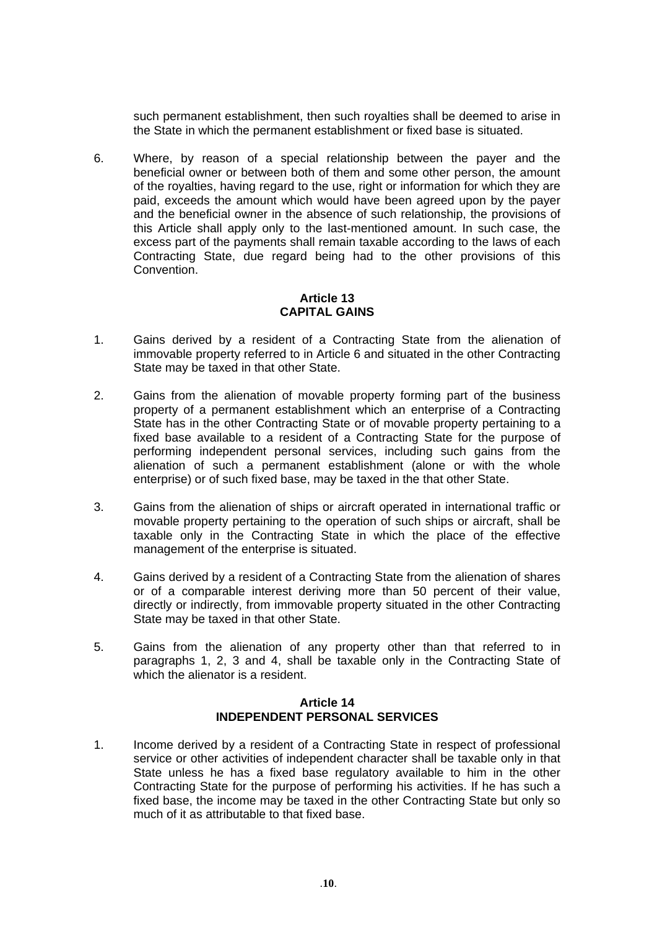such permanent establishment, then such royalties shall be deemed to arise in the State in which the permanent establishment or fixed base is situated.

6. Where, by reason of a special relationship between the payer and the beneficial owner or between both of them and some other person, the amount of the royalties, having regard to the use, right or information for which they are paid, exceeds the amount which would have been agreed upon by the payer and the beneficial owner in the absence of such relationship, the provisions of this Article shall apply only to the last-mentioned amount. In such case, the excess part of the payments shall remain taxable according to the laws of each Contracting State, due regard being had to the other provisions of this Convention.

## **Article 13 CAPITAL GAINS**

- 1. Gains derived by a resident of a Contracting State from the alienation of immovable property referred to in Article 6 and situated in the other Contracting State may be taxed in that other State.
- 2. Gains from the alienation of movable property forming part of the business property of a permanent establishment which an enterprise of a Contracting State has in the other Contracting State or of movable property pertaining to a fixed base available to a resident of a Contracting State for the purpose of performing independent personal services, including such gains from the alienation of such a permanent establishment (alone or with the whole enterprise) or of such fixed base, may be taxed in the that other State.
- 3. Gains from the alienation of ships or aircraft operated in international traffic or movable property pertaining to the operation of such ships or aircraft, shall be taxable only in the Contracting State in which the place of the effective management of the enterprise is situated.
- 4. Gains derived by a resident of a Contracting State from the alienation of shares or of a comparable interest deriving more than 50 percent of their value, directly or indirectly, from immovable property situated in the other Contracting State may be taxed in that other State.
- 5. Gains from the alienation of any property other than that referred to in paragraphs 1, 2, 3 and 4, shall be taxable only in the Contracting State of which the alienator is a resident.

#### **Article 14 INDEPENDENT PERSONAL SERVICES**

1. Income derived by a resident of a Contracting State in respect of professional service or other activities of independent character shall be taxable only in that State unless he has a fixed base regulatory available to him in the other Contracting State for the purpose of performing his activities. If he has such a fixed base, the income may be taxed in the other Contracting State but only so much of it as attributable to that fixed base.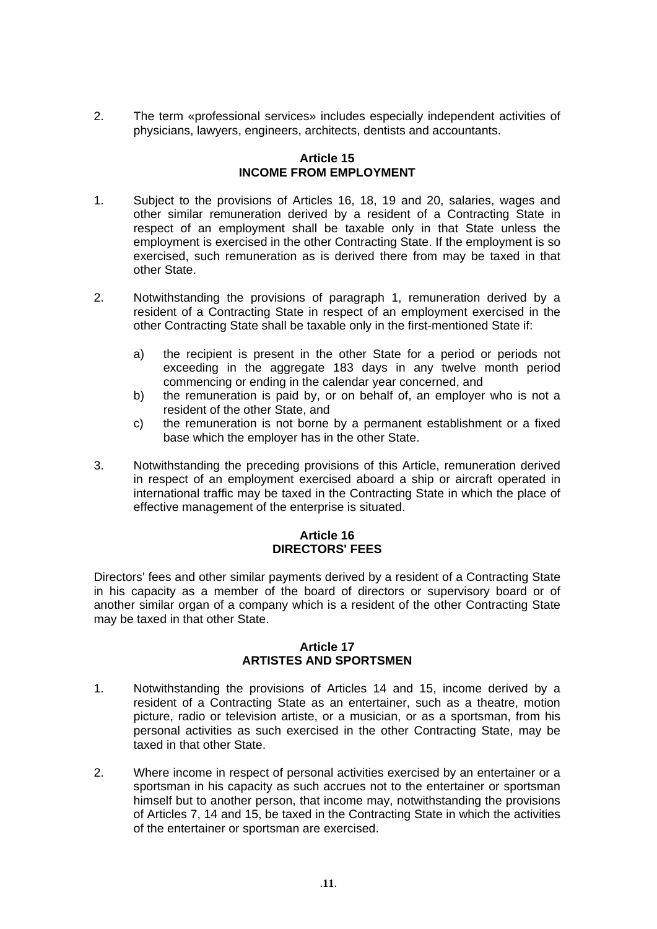2. The term «professional services» includes especially independent activities of physicians, lawyers, engineers, architects, dentists and accountants.

## **Article 15 INCOME FROM EMPLOYMENT**

- 1. Subject to the provisions of Articles 16, 18, 19 and 20, salaries, wages and other similar remuneration derived by a resident of a Contracting State in respect of an employment shall be taxable only in that State unless the employment is exercised in the other Contracting State. If the employment is so exercised, such remuneration as is derived there from may be taxed in that other State.
- 2. Notwithstanding the provisions of paragraph 1, remuneration derived by a resident of a Contracting State in respect of an employment exercised in the other Contracting State shall be taxable only in the first-mentioned State if:
	- a) the recipient is present in the other State for a period or periods not exceeding in the aggregate 183 days in any twelve month period commencing or ending in the calendar year concerned, and
	- b) the remuneration is paid by, or on behalf of, an employer who is not a resident of the other State, and
	- c) the remuneration is not borne by a permanent establishment or a fixed base which the employer has in the other State.
- 3. Notwithstanding the preceding provisions of this Article, remuneration derived in respect of an employment exercised aboard a ship or aircraft operated in international traffic may be taxed in the Contracting State in which the place of effective management of the enterprise is situated.

### **Article 16 DIRECTORS' FEES**

Directors' fees and other similar payments derived by a resident of a Contracting State in his capacity as a member of the board of directors or supervisory board or of another similar organ of a company which is a resident of the other Contracting State may be taxed in that other State.

### **Article 17 ARTISTES AND SPORTSMEN**

- 1. Notwithstanding the provisions of Articles 14 and 15, income derived by a resident of a Contracting State as an entertainer, such as a theatre, motion picture, radio or television artiste, or a musician, or as a sportsman, from his personal activities as such exercised in the other Contracting State, may be taxed in that other State.
- 2. Where income in respect of personal activities exercised by an entertainer or a sportsman in his capacity as such accrues not to the entertainer or sportsman himself but to another person, that income may, notwithstanding the provisions of Articles 7, 14 and 15, be taxed in the Contracting State in which the activities of the entertainer or sportsman are exercised.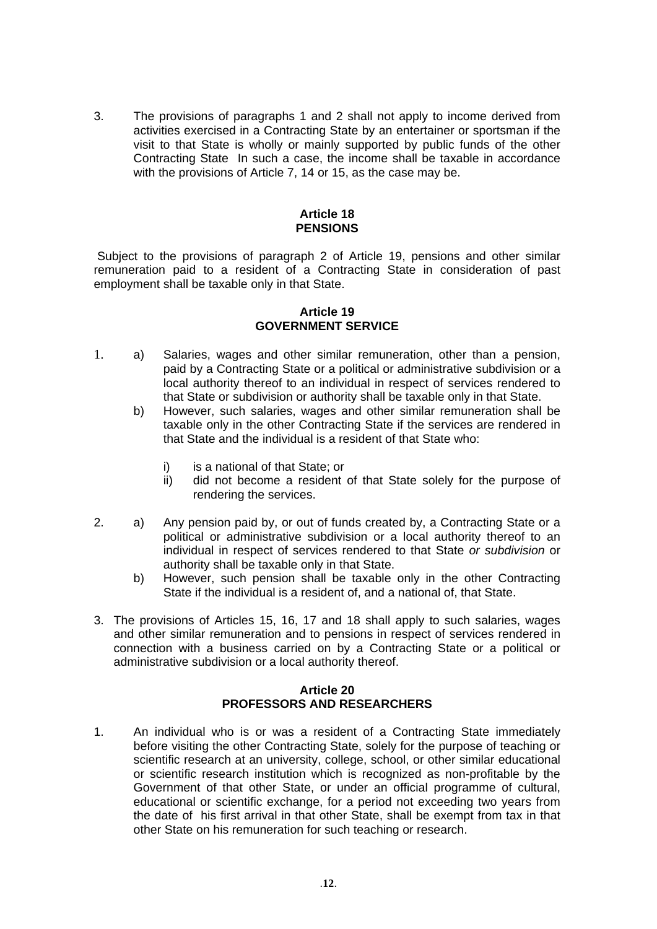3. The provisions of paragraphs 1 and 2 shall not apply to income derived from activities exercised in a Contracting State by an entertainer or sportsman if the visit to that State is wholly or mainly supported by public funds of the other Contracting State In such a case, the income shall be taxable in accordance with the provisions of Article 7, 14 or 15, as the case may be.

### **Article 18 PENSIONS**

 Subject to the provisions of paragraph 2 of Article 19, pensions and other similar remuneration paid to a resident of a Contracting State in consideration of past employment shall be taxable only in that State.

### **Article 19 GOVERNMENT SERVICE**

- 1. a) Salaries, wages and other similar remuneration, other than a pension, paid by a Contracting State or a political or administrative subdivision or a local authority thereof to an individual in respect of services rendered to that State or subdivision or authority shall be taxable only in that State.
	- b) However, such salaries, wages and other similar remuneration shall be taxable only in the other Contracting State if the services are rendered in that State and the individual is a resident of that State who:
		- i) is a national of that State; or
		- ii) did not become a resident of that State solely for the purpose of rendering the services.
- 2. a) Any pension paid by, or out of funds created by, a Contracting State or a political or administrative subdivision or a local authority thereof to an individual in respect of services rendered to that State *or subdivision* or authority shall be taxable only in that State.
	- b) However, such pension shall be taxable only in the other Contracting State if the individual is a resident of, and a national of, that State.
- 3. The provisions of Articles 15, 16, 17 and 18 shall apply to such salaries, wages and other similar remuneration and to pensions in respect of services rendered in connection with a business carried on by a Contracting State or a political or administrative subdivision or a local authority thereof.

### **Article 20 PROFESSORS AND RESEARCHERS**

1. An individual who is or was a resident of a Contracting State immediately before visiting the other Contracting State, solely for the purpose of teaching or scientific research at an university, college, school, or other similar educational or scientific research institution which is recognized as non-profitable by the Government of that other State, or under an official programme of cultural, educational or scientific exchange, for a period not exceeding two years from the date of his first arrival in that other State, shall be exempt from tax in that other State on his remuneration for such teaching or research.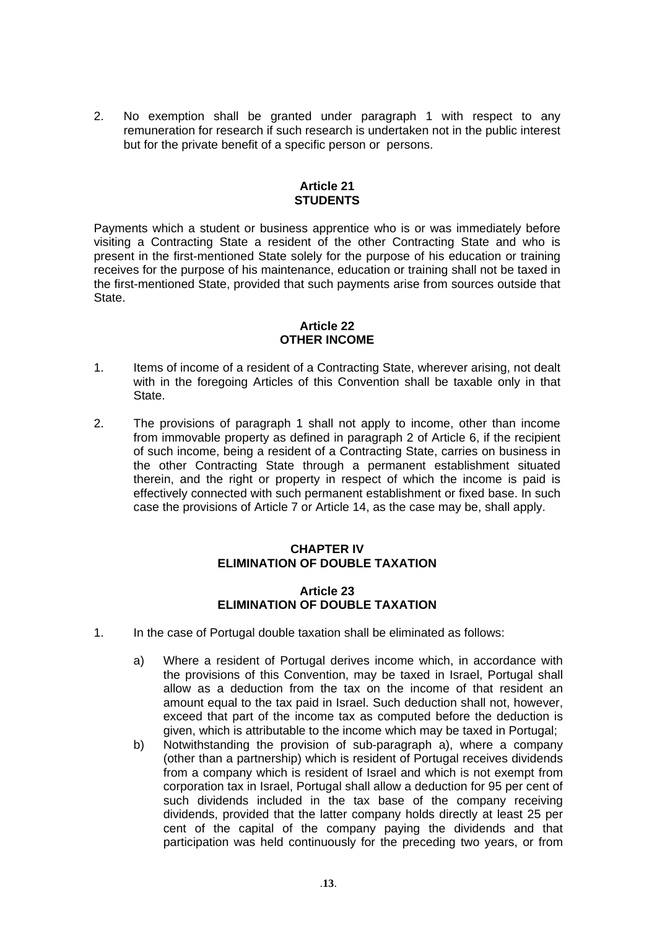2. No exemption shall be granted under paragraph 1 with respect to any remuneration for research if such research is undertaken not in the public interest but for the private benefit of a specific person or persons.

## **Article 21 STUDENTS**

Payments which a student or business apprentice who is or was immediately before visiting a Contracting State a resident of the other Contracting State and who is present in the first-mentioned State solely for the purpose of his education or training receives for the purpose of his maintenance, education or training shall not be taxed in the first-mentioned State, provided that such payments arise from sources outside that State.

# **Article 22 OTHER INCOME**

- 1. Items of income of a resident of a Contracting State, wherever arising, not dealt with in the foregoing Articles of this Convention shall be taxable only in that State.
- 2. The provisions of paragraph 1 shall not apply to income, other than income from immovable property as defined in paragraph 2 of Article 6, if the recipient of such income, being a resident of a Contracting State, carries on business in the other Contracting State through a permanent establishment situated therein, and the right or property in respect of which the income is paid is effectively connected with such permanent establishment or fixed base. In such case the provisions of Article 7 or Article 14, as the case may be, shall apply.

# **CHAPTER IV ELIMINATION OF DOUBLE TAXATION**

## **Article 23 ELIMINATION OF DOUBLE TAXATION**

- 1. In the case of Portugal double taxation shall be eliminated as follows:
	- a) Where a resident of Portugal derives income which, in accordance with the provisions of this Convention, may be taxed in Israel, Portugal shall allow as a deduction from the tax on the income of that resident an amount equal to the tax paid in Israel. Such deduction shall not, however, exceed that part of the income tax as computed before the deduction is given, which is attributable to the income which may be taxed in Portugal;
	- b) Notwithstanding the provision of sub-paragraph a), where a company (other than a partnership) which is resident of Portugal receives dividends from a company which is resident of Israel and which is not exempt from corporation tax in Israel, Portugal shall allow a deduction for 95 per cent of such dividends included in the tax base of the company receiving dividends, provided that the latter company holds directly at least 25 per cent of the capital of the company paying the dividends and that participation was held continuously for the preceding two years, or from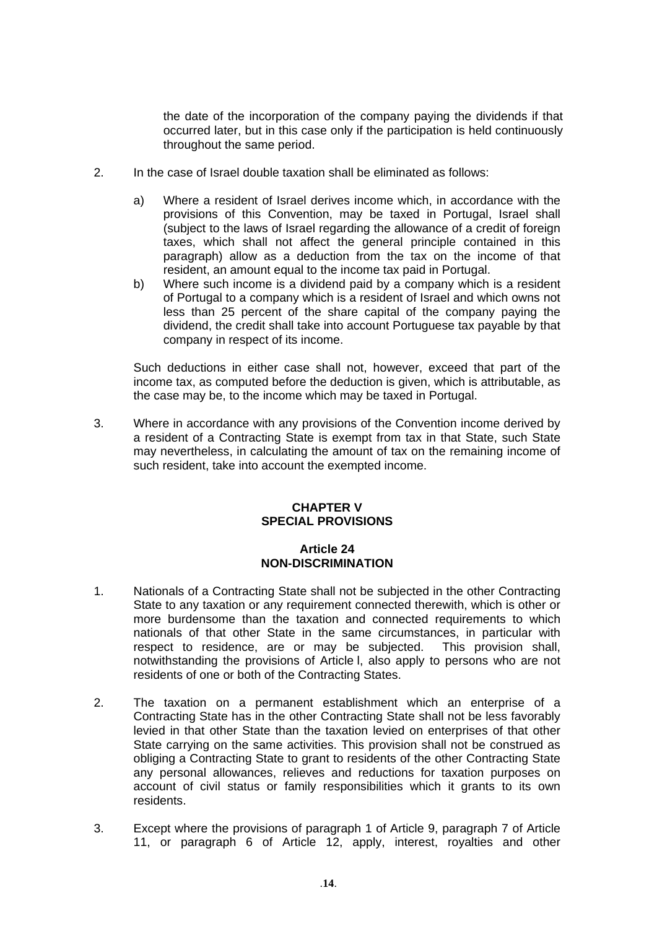the date of the incorporation of the company paying the dividends if that occurred later, but in this case only if the participation is held continuously throughout the same period.

- 2. In the case of Israel double taxation shall be eliminated as follows:
	- a) Where a resident of Israel derives income which, in accordance with the provisions of this Convention, may be taxed in Portugal, Israel shall (subject to the laws of Israel regarding the allowance of a credit of foreign taxes, which shall not affect the general principle contained in this paragraph) allow as a deduction from the tax on the income of that resident, an amount equal to the income tax paid in Portugal.
	- b) Where such income is a dividend paid by a company which is a resident of Portugal to a company which is a resident of Israel and which owns not less than 25 percent of the share capital of the company paying the dividend, the credit shall take into account Portuguese tax payable by that company in respect of its income.

Such deductions in either case shall not, however, exceed that part of the income tax, as computed before the deduction is given, which is attributable, as the case may be, to the income which may be taxed in Portugal.

3. Where in accordance with any provisions of the Convention income derived by a resident of a Contracting State is exempt from tax in that State, such State may nevertheless, in calculating the amount of tax on the remaining income of such resident, take into account the exempted income.

## **CHAPTER V SPECIAL PROVISIONS**

## **Article 24 NON-DISCRIMINATION**

- 1. Nationals of a Contracting State shall not be subjected in the other Contracting State to any taxation or any requirement connected therewith, which is other or more burdensome than the taxation and connected requirements to which nationals of that other State in the same circumstances, in particular with respect to residence, are or may be subjected. This provision shall, notwithstanding the provisions of Article l, also apply to persons who are not residents of one or both of the Contracting States.
- 2. The taxation on a permanent establishment which an enterprise of a Contracting State has in the other Contracting State shall not be less favorably levied in that other State than the taxation levied on enterprises of that other State carrying on the same activities. This provision shall not be construed as obliging a Contracting State to grant to residents of the other Contracting State any personal allowances, relieves and reductions for taxation purposes on account of civil status or family responsibilities which it grants to its own residents.
- 3. Except where the provisions of paragraph 1 of Article 9, paragraph 7 of Article 11, or paragraph 6 of Article 12, apply, interest, royalties and other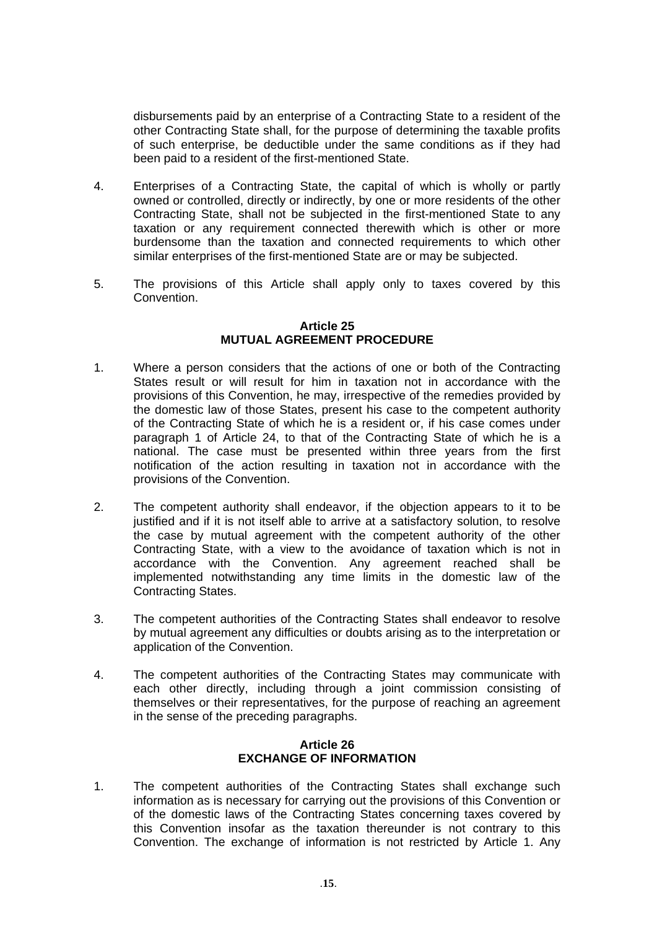disbursements paid by an enterprise of a Contracting State to a resident of the other Contracting State shall, for the purpose of determining the taxable profits of such enterprise, be deductible under the same conditions as if they had been paid to a resident of the first-mentioned State.

- 4. Enterprises of a Contracting State, the capital of which is wholly or partly owned or controlled, directly or indirectly, by one or more residents of the other Contracting State, shall not be subjected in the first-mentioned State to any taxation or any requirement connected therewith which is other or more burdensome than the taxation and connected requirements to which other similar enterprises of the first-mentioned State are or may be subjected.
- 5. The provisions of this Article shall apply only to taxes covered by this **Convention**

### **Article 25 MUTUAL AGREEMENT PROCEDURE**

- 1. Where a person considers that the actions of one or both of the Contracting States result or will result for him in taxation not in accordance with the provisions of this Convention, he may, irrespective of the remedies provided by the domestic law of those States, present his case to the competent authority of the Contracting State of which he is a resident or, if his case comes under paragraph 1 of Article 24, to that of the Contracting State of which he is a national. The case must be presented within three years from the first notification of the action resulting in taxation not in accordance with the provisions of the Convention.
- 2. The competent authority shall endeavor, if the objection appears to it to be justified and if it is not itself able to arrive at a satisfactory solution, to resolve the case by mutual agreement with the competent authority of the other Contracting State, with a view to the avoidance of taxation which is not in accordance with the Convention. Any agreement reached shall be implemented notwithstanding any time limits in the domestic law of the Contracting States.
- 3. The competent authorities of the Contracting States shall endeavor to resolve by mutual agreement any difficulties or doubts arising as to the interpretation or application of the Convention.
- 4. The competent authorities of the Contracting States may communicate with each other directly, including through a joint commission consisting of themselves or their representatives, for the purpose of reaching an agreement in the sense of the preceding paragraphs.

### **Article 26 EXCHANGE OF INFORMATION**

1. The competent authorities of the Contracting States shall exchange such information as is necessary for carrying out the provisions of this Convention or of the domestic laws of the Contracting States concerning taxes covered by this Convention insofar as the taxation thereunder is not contrary to this Convention. The exchange of information is not restricted by Article 1. Any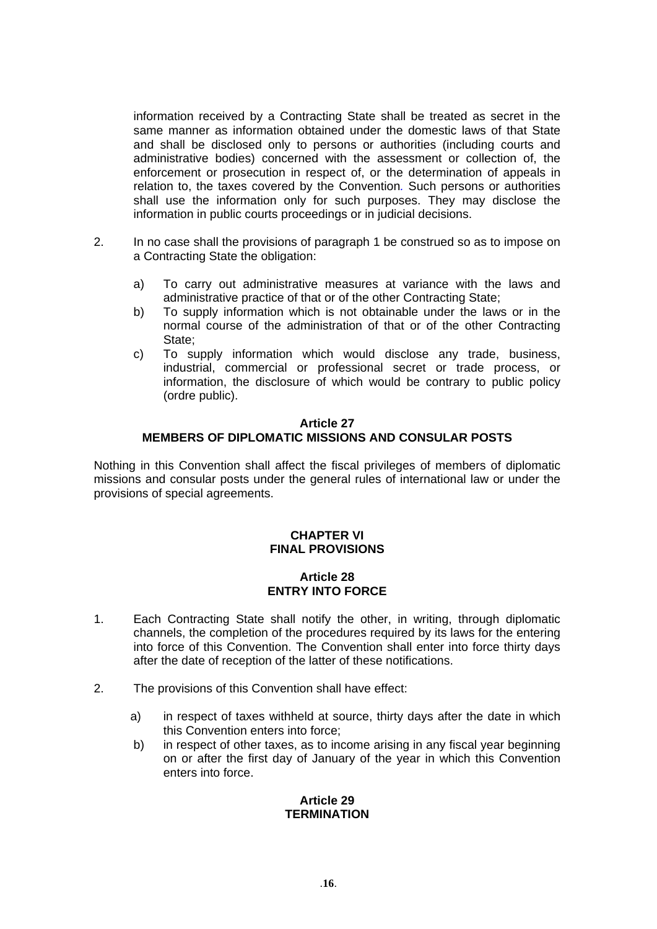information received by a Contracting State shall be treated as secret in the same manner as information obtained under the domestic laws of that State and shall be disclosed only to persons or authorities (including courts and administrative bodies) concerned with the assessment or collection of, the enforcement or prosecution in respect of, or the determination of appeals in relation to, the taxes covered by the Convention*.* Such persons or authorities shall use the information only for such purposes. They may disclose the information in public courts proceedings or in judicial decisions.

- 2. In no case shall the provisions of paragraph 1 be construed so as to impose on a Contracting State the obligation:
	- a) To carry out administrative measures at variance with the laws and administrative practice of that or of the other Contracting State;
	- b) To supply information which is not obtainable under the laws or in the normal course of the administration of that or of the other Contracting State;
	- c) To supply information which would disclose any trade, business, industrial, commercial or professional secret or trade process, or information, the disclosure of which would be contrary to public policy (ordre public).

### **Article 27 MEMBERS OF DIPLOMATIC MISSIONS AND CONSULAR POSTS**

Nothing in this Convention shall affect the fiscal privileges of members of diplomatic missions and consular posts under the general rules of international law or under the provisions of special agreements.

## **CHAPTER VI FINAL PROVISIONS**

### **Article 28 ENTRY INTO FORCE**

- 1. Each Contracting State shall notify the other, in writing, through diplomatic channels, the completion of the procedures required by its laws for the entering into force of this Convention. The Convention shall enter into force thirty days after the date of reception of the latter of these notifications.
- 2. The provisions of this Convention shall have effect:
	- a) in respect of taxes withheld at source, thirty days after the date in which this Convention enters into force;
	- b) in respect of other taxes, as to income arising in any fiscal year beginning on or after the first day of January of the year in which this Convention enters into force.

### **Article 29 TERMINATION**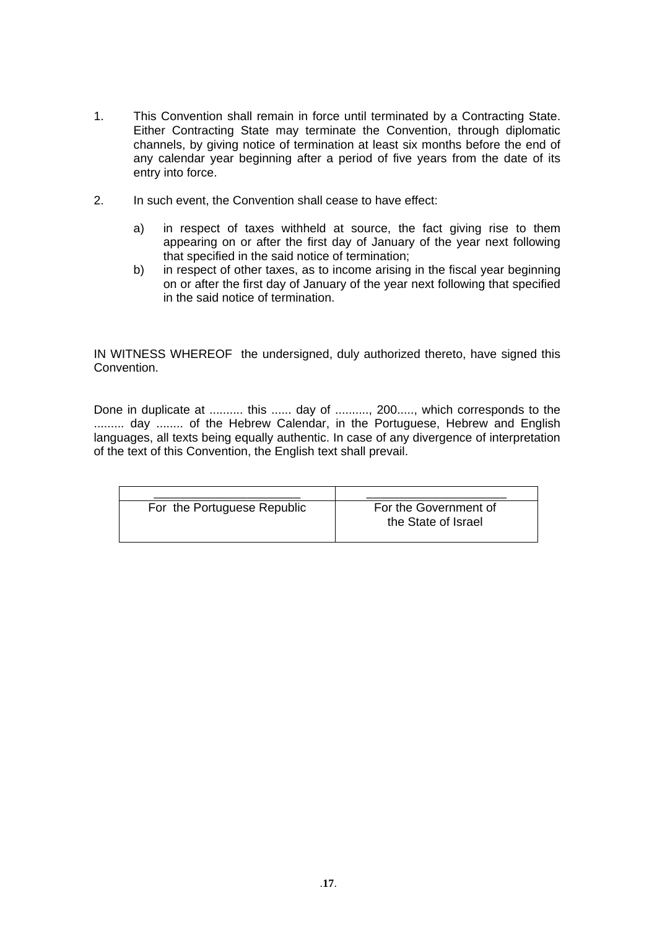- 1. This Convention shall remain in force until terminated by a Contracting State. Either Contracting State may terminate the Convention, through diplomatic channels, by giving notice of termination at least six months before the end of any calendar year beginning after a period of five years from the date of its entry into force.
- 2. In such event, the Convention shall cease to have effect:
	- a) in respect of taxes withheld at source, the fact giving rise to them appearing on or after the first day of January of the year next following that specified in the said notice of termination;
	- b) in respect of other taxes, as to income arising in the fiscal year beginning on or after the first day of January of the year next following that specified in the said notice of termination.

IN WITNESS WHEREOF the undersigned, duly authorized thereto, have signed this Convention.

Done in duplicate at .......... this ...... day of .........., 200....., which corresponds to the ......... day ........ of the Hebrew Calendar, in the Portuguese, Hebrew and English languages, all texts being equally authentic. In case of any divergence of interpretation of the text of this Convention, the English text shall prevail.

| For the Portuguese Republic | For the Government of<br>the State of Israel |
|-----------------------------|----------------------------------------------|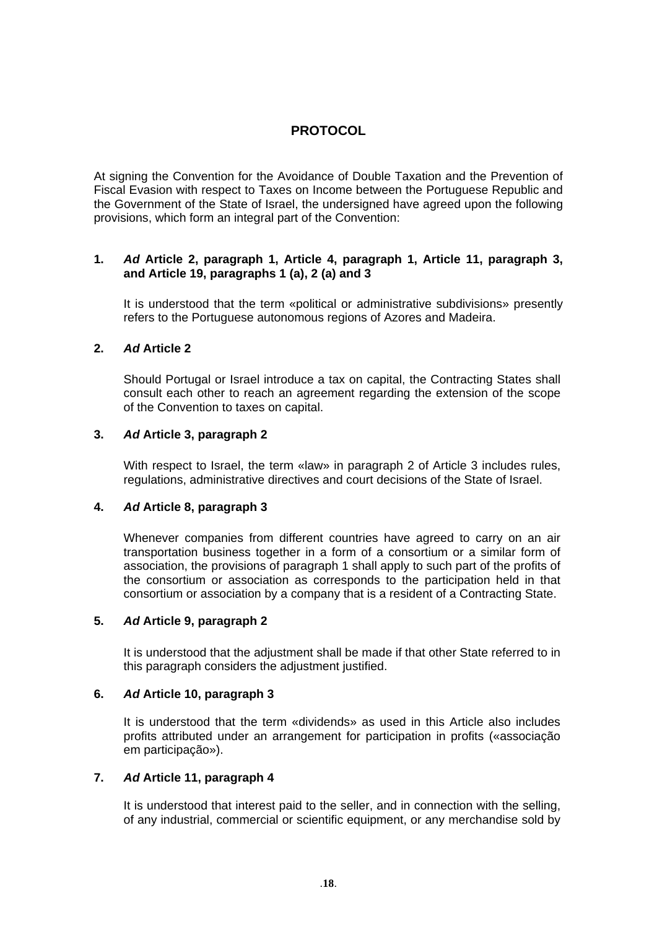# **PROTOCOL**

At signing the Convention for the Avoidance of Double Taxation and the Prevention of Fiscal Evasion with respect to Taxes on Income between the Portuguese Republic and the Government of the State of Israel, the undersigned have agreed upon the following provisions, which form an integral part of the Convention:

#### **1.** *Ad* **Article 2, paragraph 1, Article 4, paragraph 1, Article 11, paragraph 3, and Article 19, paragraphs 1 (a), 2 (a) and 3**

It is understood that the term «political or administrative subdivisions» presently refers to the Portuguese autonomous regions of Azores and Madeira.

### **2.** *Ad* **Article 2**

 Should Portugal or Israel introduce a tax on capital, the Contracting States shall consult each other to reach an agreement regarding the extension of the scope of the Convention to taxes on capital.

### **3.** *Ad* **Article 3, paragraph 2**

 With respect to Israel, the term «law» in paragraph 2 of Article 3 includes rules, regulations, administrative directives and court decisions of the State of Israel.

## **4.** *Ad* **Article 8, paragraph 3**

 Whenever companies from different countries have agreed to carry on an air transportation business together in a form of a consortium or a similar form of association, the provisions of paragraph 1 shall apply to such part of the profits of the consortium or association as corresponds to the participation held in that consortium or association by a company that is a resident of a Contracting State.

## **5.** *Ad* **Article 9, paragraph 2**

 It is understood that the adjustment shall be made if that other State referred to in this paragraph considers the adjustment justified.

#### **6.** *Ad* **Article 10, paragraph 3**

It is understood that the term «dividends» as used in this Article also includes profits attributed under an arrangement for participation in profits («associação em participação»).

### **7.** *Ad* **Article 11, paragraph 4**

It is understood that interest paid to the seller, and in connection with the selling, of any industrial, commercial or scientific equipment, or any merchandise sold by